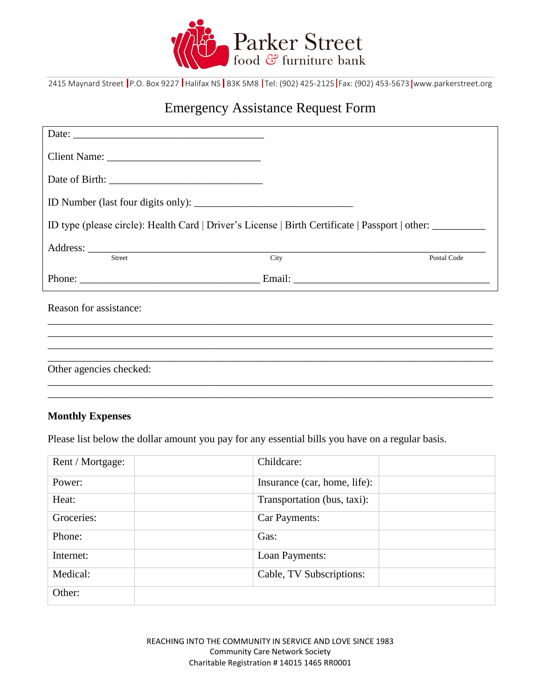

2415 Maynard Street P.O. Box 9227 Halifax NS B3K 5M8 Tel: (902) 425-2125 Fax: (902) 453-5673 www.parkerstreet.org

# Emergency Assistance Request Form

| ID type (please circle): Health Card   Driver's License   Birth Certificate   Passport   other: |  |             |
|-------------------------------------------------------------------------------------------------|--|-------------|
| Address: <u>City</u>                                                                            |  | Postal Code |
|                                                                                                 |  |             |
| Reason for assistance:                                                                          |  |             |
|                                                                                                 |  |             |
| Other agencies checked:                                                                         |  |             |
|                                                                                                 |  |             |

# **Monthly Expenses**

Please list below the dollar amount you pay for any essential bills you have on a regular basis.

| Rent / Mortgage: | Childcare:                   |
|------------------|------------------------------|
| Power:           | Insurance (car, home, life): |
| Heat:            | Transportation (bus, taxi):  |
| Groceries:       | Car Payments:                |
| Phone:           | Gas:                         |
| Internet:        | Loan Payments:               |
| Medical:         | Cable, TV Subscriptions:     |
| Other:           |                              |

REACHING INTO THE COMMUNITY IN SERVICE AND LOVE SINCE 1983 Community Care Network Society Charitable Registration # 14015 1465 RR0001